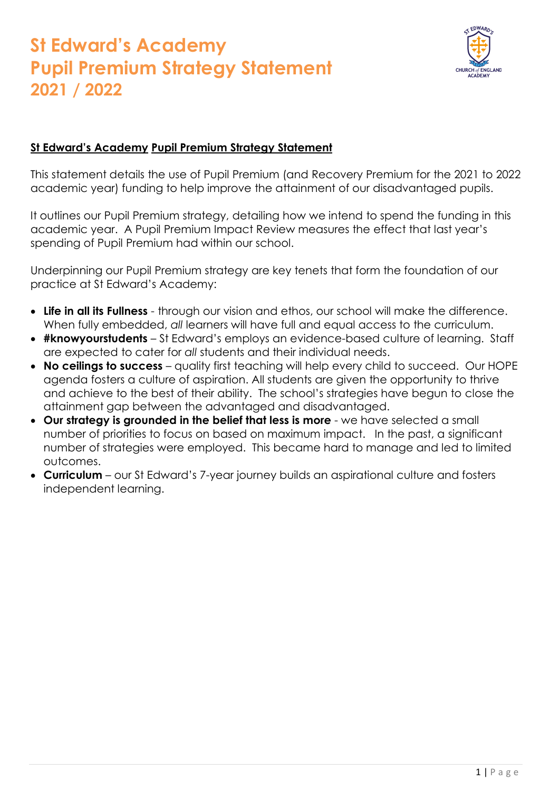

### **St Edward's Academy Pupil Premium Strategy Statement**

This statement details the use of Pupil Premium (and Recovery Premium for the 2021 to 2022 academic year) funding to help improve the attainment of our disadvantaged pupils.

It outlines our Pupil Premium strategy, detailing how we intend to spend the funding in this academic year. A Pupil Premium Impact Review measures the effect that last year's spending of Pupil Premium had within our school.

Underpinning our Pupil Premium strategy are key tenets that form the foundation of our practice at St Edward's Academy:

- **Life in all its Fullness** through our vision and ethos, our school will make the difference. When fully embedded, *all* learners will have full and equal access to the curriculum.
- **#knowyourstudents** St Edward's employs an evidence-based culture of learning. Staff are expected to cater for *all* students and their individual needs.
- **No ceilings to success** quality first teaching will help every child to succeed. Our HOPE agenda fosters a culture of aspiration. All students are given the opportunity to thrive and achieve to the best of their ability. The school's strategies have begun to close the attainment gap between the advantaged and disadvantaged.
- **Our strategy is grounded in the belief that less is more** we have selected a small number of priorities to focus on based on maximum impact. In the past, a significant number of strategies were employed. This became hard to manage and led to limited outcomes.
- **Curriculum**  our St Edward's 7-year journey builds an aspirational culture and fosters independent learning.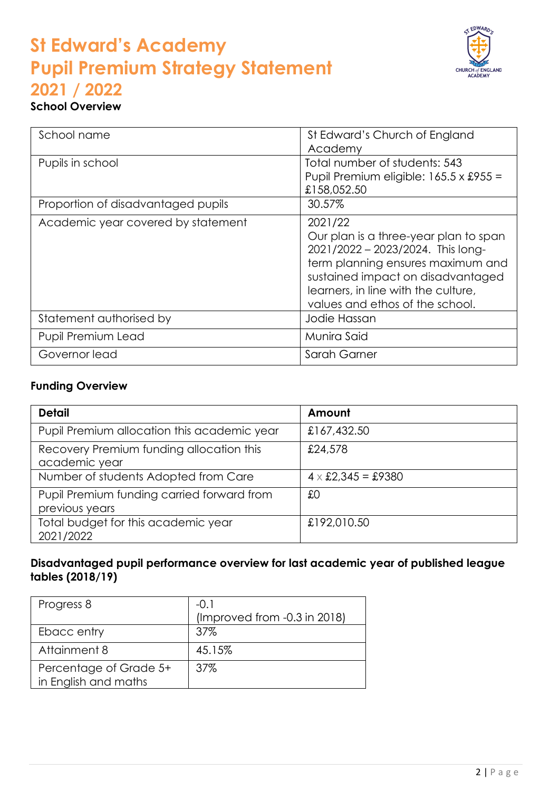

## **School Overview**

| School name                        | St Edward's Church of England<br>Academy                                                                                                                                                                                                  |
|------------------------------------|-------------------------------------------------------------------------------------------------------------------------------------------------------------------------------------------------------------------------------------------|
| Pupils in school                   | Total number of students: 543<br>Pupil Premium eligible: 165.5 x £955 =<br>£158,052.50                                                                                                                                                    |
| Proportion of disadvantaged pupils | 30.57%                                                                                                                                                                                                                                    |
| Academic year covered by statement | 2021/22<br>Our plan is a three-year plan to span<br>2021/2022 - 2023/2024. This long-<br>term planning ensures maximum and<br>sustained impact on disadvantaged<br>learners, in line with the culture,<br>values and ethos of the school. |
| Statement authorised by            | Jodie Hassan                                                                                                                                                                                                                              |
| Pupil Premium Lead                 | Munira Said                                                                                                                                                                                                                               |
| Governor lead                      | Sarah Garner                                                                                                                                                                                                                              |

### **Funding Overview**

| <b>Detail</b>                                                | Amount                    |
|--------------------------------------------------------------|---------------------------|
| Pupil Premium allocation this academic year                  | £167,432.50               |
| Recovery Premium funding allocation this<br>academic year    | £24,578                   |
| Number of students Adopted from Care                         | $4 \times £2,345 = £9380$ |
| Pupil Premium funding carried forward from<br>previous years | £0                        |
| Total budget for this academic year<br>2021/2022             | £192,010.50               |

## **Disadvantaged pupil performance overview for last academic year of published league tables (2018/19)**

| Progress 8                                     | $-0.1$                         |
|------------------------------------------------|--------------------------------|
|                                                | (Improved from $-0.3$ in 2018) |
| Ebacc entry                                    | 37%                            |
| Attainment 8                                   | 45.15%                         |
| Percentage of Grade 5+<br>in English and maths | 37%                            |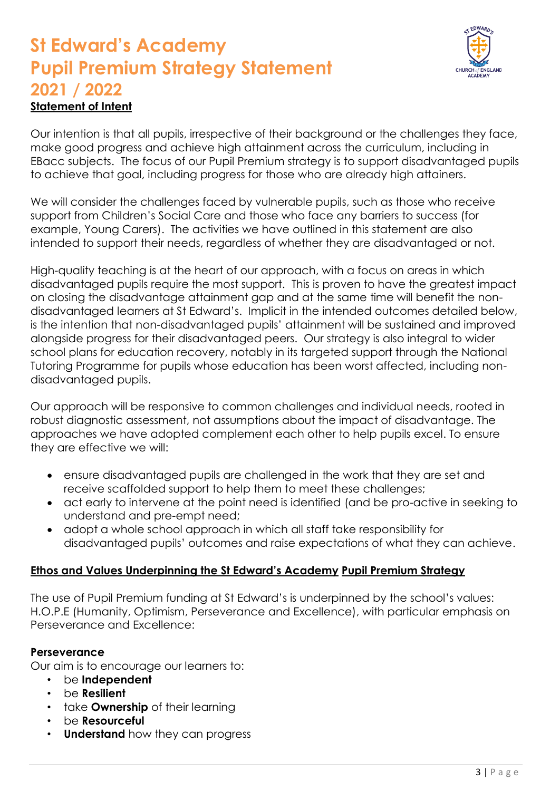# **St Edward's Academy Pupil Premium Strategy Statement 2021 / 2022 Statement of Intent**



Our intention is that all pupils, irrespective of their background or the challenges they face, make good progress and achieve high attainment across the curriculum, including in EBacc subjects. The focus of our Pupil Premium strategy is to support disadvantaged pupils to achieve that goal, including progress for those who are already high attainers.

We will consider the challenges faced by vulnerable pupils, such as those who receive support from Children's Social Care and those who face any barriers to success (for example, Young Carers). The activities we have outlined in this statement are also intended to support their needs, regardless of whether they are disadvantaged or not.

High-quality teaching is at the heart of our approach, with a focus on areas in which disadvantaged pupils require the most support. This is proven to have the greatest impact on closing the disadvantage attainment gap and at the same time will benefit the nondisadvantaged learners at St Edward's. Implicit in the intended outcomes detailed below, is the intention that non-disadvantaged pupils' attainment will be sustained and improved alongside progress for their disadvantaged peers. Our strategy is also integral to wider school plans for education recovery, notably in its targeted support through the National Tutoring Programme for pupils whose education has been worst affected, including nondisadvantaged pupils.

Our approach will be responsive to common challenges and individual needs, rooted in robust diagnostic assessment, not assumptions about the impact of disadvantage. The approaches we have adopted complement each other to help pupils excel. To ensure they are effective we will:

- ensure disadvantaged pupils are challenged in the work that they are set and receive scaffolded support to help them to meet these challenges;
- act early to intervene at the point need is identified (and be pro-active in seeking to understand and pre-empt need;
- adopt a whole school approach in which all staff take responsibility for disadvantaged pupils' outcomes and raise expectations of what they can achieve.

## **Ethos and Values Underpinning the St Edward's Academy Pupil Premium Strategy**

The use of Pupil Premium funding at St Edward's is underpinned by the school's values: H.O.P.E (Humanity, Optimism, Perseverance and Excellence), with particular emphasis on Perseverance and Excellence:

### **Perseverance**

Our aim is to encourage our learners to:

- be **Independent**
- be **Resilient**
- take **Ownership** of their learning
- be **Resourceful**
- **Understand** how they can progress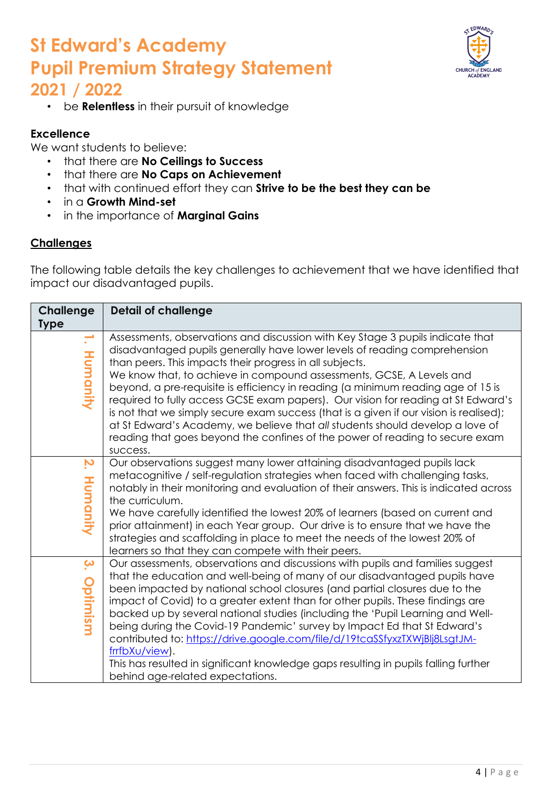

• be **Relentless** in their pursuit of knowledge

### **Excellence**

We want students to believe:

- that there are **No Ceilings to Success**
- that there are **No Caps on Achievement**
- that with continued effort they can **Strive to be the best they can be**
- in a **Growth Mind-set**
- in the importance of **Marginal Gains**

### **Challenges**

The following table details the key challenges to achievement that we have identified that impact our disadvantaged pupils.

| <b>Challenge</b><br><b>Type</b>             | <b>Detail of challenge</b>                                                                                                                                                                                                                                                                                                                                                                                                                                                                                                                                                                                                                                                                                                                      |
|---------------------------------------------|-------------------------------------------------------------------------------------------------------------------------------------------------------------------------------------------------------------------------------------------------------------------------------------------------------------------------------------------------------------------------------------------------------------------------------------------------------------------------------------------------------------------------------------------------------------------------------------------------------------------------------------------------------------------------------------------------------------------------------------------------|
| $\overline{\phantom{0}}$<br><b>Humanity</b> | Assessments, observations and discussion with Key Stage 3 pupils indicate that<br>disadvantaged pupils generally have lower levels of reading comprehension<br>than peers. This impacts their progress in all subjects.<br>We know that, to achieve in compound assessments, GCSE, A Levels and<br>beyond, a pre-requisite is efficiency in reading (a minimum reading age of 15 is<br>required to fully access GCSE exam papers). Our vision for reading at St Edward's<br>is not that we simply secure exam success (that is a given if our vision is realised);<br>at St Edward's Academy, we believe that all students should develop a love of<br>reading that goes beyond the confines of the power of reading to secure exam<br>success. |
| Z.<br>Humanity                              | Our observations suggest many lower attaining disadvantaged pupils lack<br>metacognitive / self-regulation strategies when faced with challenging tasks,<br>notably in their monitoring and evaluation of their answers. This is indicated across<br>the curriculum.<br>We have carefully identified the lowest 20% of learners (based on current and<br>prior attainment) in each Year group. Our drive is to ensure that we have the<br>strategies and scaffolding in place to meet the needs of the lowest 20% of<br>learners so that they can compete with their peers.                                                                                                                                                                     |
| $\mathbf{\hat{S}}$<br>Optimism              | Our assessments, observations and discussions with pupils and families suggest<br>that the education and well-being of many of our disadvantaged pupils have<br>been impacted by national school closures (and partial closures due to the<br>impact of Covid) to a greater extent than for other pupils. These findings are<br>backed up by several national studies (including the 'Pupil Learning and Well-<br>being during the Covid-19 Pandemic' survey by Impact Ed that St Edward's<br>contributed to: https://drive.google.com/file/d/19tcaSSfyxzTXWjBlj8LsgtJM-<br>frrfbXu/view).<br>This has resulted in significant knowledge gaps resulting in pupils falling further<br>behind age-related expectations.                           |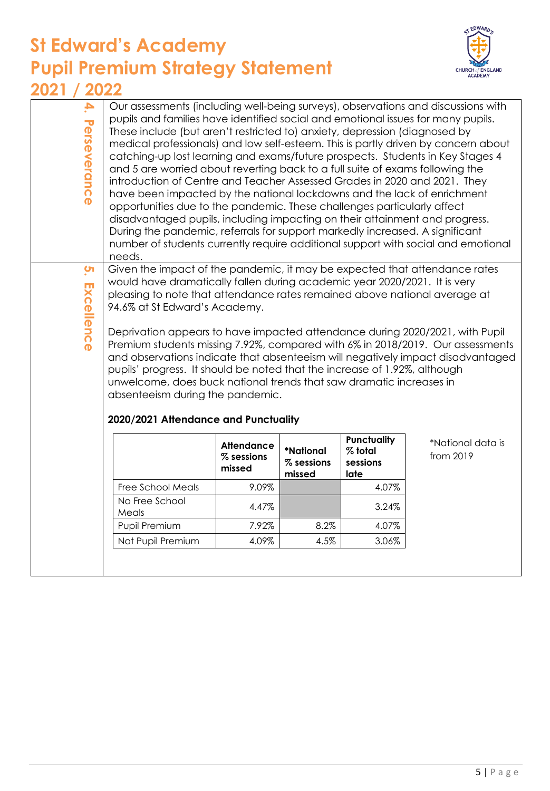

**4.** Our assessments (including well-being surveys), observations and discussions with pupils and families have identified social and emotional issues for many pupils. Perseverance **Perseverance** These include (but aren't restricted to) anxiety, depression (diagnosed by medical professionals) and low self-esteem. This is partly driven by concern about catching-up lost learning and exams/future prospects. Students in Key Stages 4 and 5 are worried about reverting back to a full suite of exams following the introduction of Centre and Teacher Assessed Grades in 2020 and 2021. They have been impacted by the national lockdowns and the lack of enrichment opportunities due to the pandemic. These challenges particularly affect disadvantaged pupils, including impacting on their attainment and progress. During the pandemic, referrals for support markedly increased. A significant number of students currently require additional support with social and emotional needs. **5.**

Given the impact of the pandemic, it may be expected that attendance rates would have dramatically fallen during academic year 2020/2021. It is very pleasing to note that attendance rates remained above national average at 94.6% at St Edward's Academy.

Deprivation appears to have impacted attendance during 2020/2021, with Pupil Premium students missing 7.92%, compared with 6% in 2018/2019. Our assessments and observations indicate that absenteeism will negatively impact disadvantaged pupils' progress. It should be noted that the increase of 1.92%, although unwelcome, does buck national trends that saw dramatic increases in absenteeism during the pandemic.

|                         | <b>Attendance</b><br>$%$ sessions<br>missed | *National<br>$%$ sessions<br>missed | <b>Punctuality</b><br>% total<br>sessions<br>late |
|-------------------------|---------------------------------------------|-------------------------------------|---------------------------------------------------|
| Free School Meals       | 9.09%                                       |                                     | 4.07%                                             |
| No Free School<br>Meals | 4.47%                                       |                                     | 3.24%                                             |
| Pupil Premium           | 7.92%                                       | 8.2%                                | 4.07%                                             |
| Not Pupil Premium       | 4.09%                                       | 4.5%                                | 3.06%                                             |

## **2020/2021 Attendance and Punctuality**

**Excellence**

Excellence

\*National data is from 2019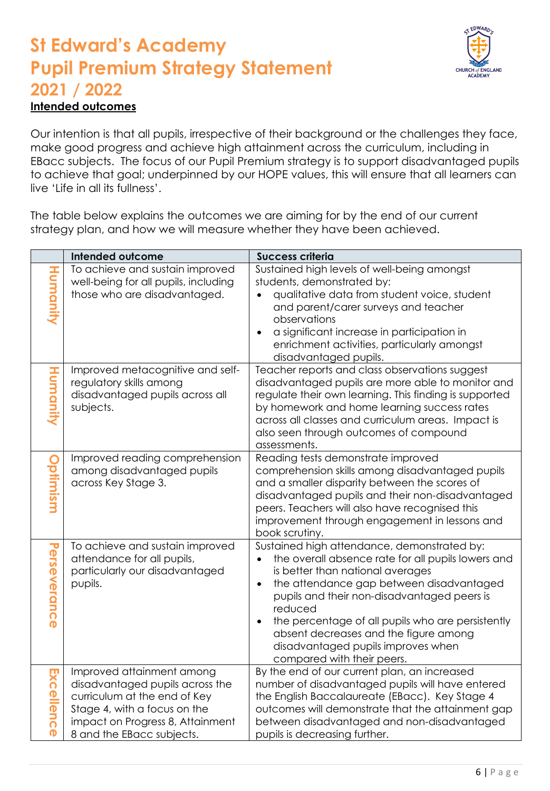

# **St Edward's Academy Pupil Premium Strategy Statement 2021 / 2022 Intended outcomes**

Our intention is that all pupils, irrespective of their background or the challenges they face, make good progress and achieve high attainment across the curriculum, including in EBacc subjects. The focus of our Pupil Premium strategy is to support disadvantaged pupils to achieve that goal; underpinned by our HOPE values, this will ensure that all learners can live 'Life in all its fullness'.

The table below explains the outcomes we are aiming for by the end of our current strategy plan, and how we will measure whether they have been achieved.

|                                  | <b>Intended outcome</b>                                                                                                                                                                       | <b>Success criteria</b>                                                                                                                                                                                                                                                                                                                                                                                                    |
|----------------------------------|-----------------------------------------------------------------------------------------------------------------------------------------------------------------------------------------------|----------------------------------------------------------------------------------------------------------------------------------------------------------------------------------------------------------------------------------------------------------------------------------------------------------------------------------------------------------------------------------------------------------------------------|
| Humanin                          | To achieve and sustain improved<br>well-being for all pupils, including<br>those who are disadvantaged.                                                                                       | Sustained high levels of well-being amongst<br>students, demonstrated by:<br>qualitative data from student voice, student<br>and parent/carer surveys and teacher<br>observations<br>a significant increase in participation in<br>enrichment activities, particularly amongst<br>disadvantaged pupils.                                                                                                                    |
| Homonity                         | Improved metacognitive and self-<br>regulatory skills among<br>disadvantaged pupils across all<br>subjects.                                                                                   | Teacher reports and class observations suggest<br>disadvantaged pupils are more able to monitor and<br>regulate their own learning. This finding is supported<br>by homework and home learning success rates<br>across all classes and curriculum areas. Impact is<br>also seen through outcomes of compound<br>assessments.                                                                                               |
| ptimism                          | Improved reading comprehension<br>among disadvantaged pupils<br>across Key Stage 3.                                                                                                           | Reading tests demonstrate improved<br>comprehension skills among disadvantaged pupils<br>and a smaller disparity between the scores of<br>disadvantaged pupils and their non-disadvantaged<br>peers. Teachers will also have recognised this<br>improvement through engagement in lessons and<br>book scrutiny.                                                                                                            |
| ত<br>erseveranc<br>⋒             | To achieve and sustain improved<br>attendance for all pupils,<br>particularly our disadvantaged<br>pupils.                                                                                    | Sustained high attendance, demonstrated by:<br>the overall absence rate for all pupils lowers and<br>is better than national averages<br>the attendance gap between disadvantaged<br>$\bullet$<br>pupils and their non-disadvantaged peers is<br>reduced<br>the percentage of all pupils who are persistently<br>absent decreases and the figure among<br>disadvantaged pupils improves when<br>compared with their peers. |
| Excellenc<br>$\boldsymbol{\Phi}$ | Improved attainment among<br>disadvantaged pupils across the<br>curriculum at the end of Key<br>Stage 4, with a focus on the<br>impact on Progress 8, Attainment<br>8 and the EBacc subjects. | By the end of our current plan, an increased<br>number of disadvantaged pupils will have entered<br>the English Baccalaureate (EBacc). Key Stage 4<br>outcomes will demonstrate that the attainment gap<br>between disadvantaged and non-disadvantaged<br>pupils is decreasing further.                                                                                                                                    |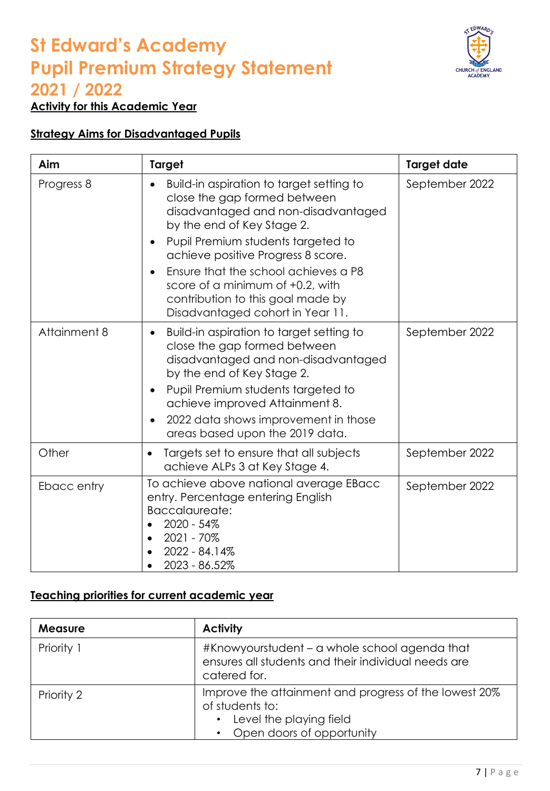

# **2021 / 2022**

**Activity for this Academic Year** 

## **Strategy Aims for Disadvantaged Pupils**

| Aim          | <b>Target</b>                                                                                                                                                                                                                                                                                                                                                                  | <b>Target date</b> |
|--------------|--------------------------------------------------------------------------------------------------------------------------------------------------------------------------------------------------------------------------------------------------------------------------------------------------------------------------------------------------------------------------------|--------------------|
| Progress 8   | Build-in aspiration to target setting to<br>close the gap formed between<br>disadvantaged and non-disadvantaged<br>by the end of Key Stage 2.<br>Pupil Premium students targeted to<br>achieve positive Progress 8 score.<br>Ensure that the school achieves a P8<br>score of a minimum of +0.2, with<br>contribution to this goal made by<br>Disadvantaged cohort in Year 11. | September 2022     |
| Attainment 8 | Build-in aspiration to target setting to<br>$\bullet$<br>close the gap formed between<br>disadvantaged and non-disadvantaged<br>by the end of Key Stage 2.<br>Pupil Premium students targeted to<br>achieve improved Attainment 8.<br>2022 data shows improvement in those<br>areas based upon the 2019 data.                                                                  | September 2022     |
| Other        | Targets set to ensure that all subjects<br>$\bullet$<br>achieve ALPs 3 at Key Stage 4.                                                                                                                                                                                                                                                                                         | September 2022     |
| Ebacc entry  | To achieve above national average EBacc<br>entry. Percentage entering English<br>Baccalaureate:<br>$2020 - 54%$<br>$\bullet$<br>2021 - 70%<br>2022 - 84.14%<br>2023 - 86.52%                                                                                                                                                                                                   | September 2022     |

## **Teaching priorities for current academic year**

| <b>Measure</b> | <b>Activity</b>                                                                                                                  |
|----------------|----------------------------------------------------------------------------------------------------------------------------------|
| Priority 1     | #Knowyourstudent – a whole school agenda that<br>ensures all students and their individual needs are<br>catered for.             |
| Priority 2     | Improve the attainment and progress of the lowest 20%<br>of students to:<br>Level the playing field<br>Open doors of opportunity |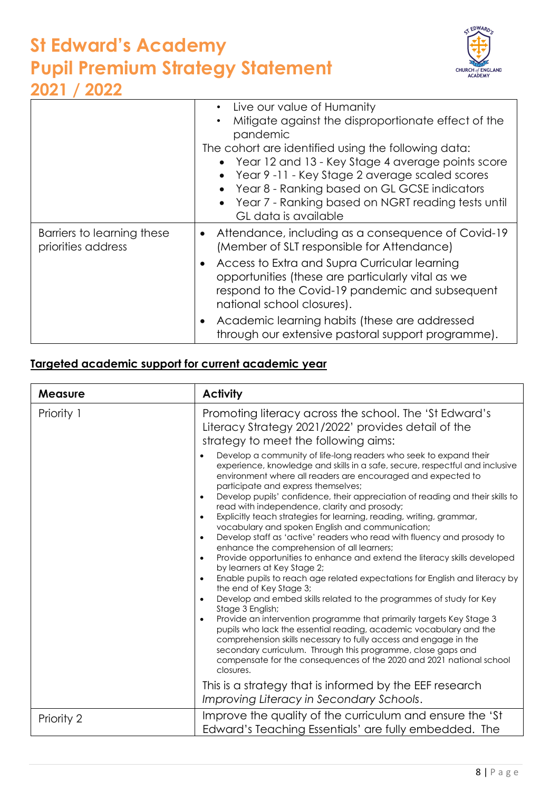

|                                                                                                                                                                   | Live our value of Humanity                                                                                                                                                                                                                                                                              |
|-------------------------------------------------------------------------------------------------------------------------------------------------------------------|---------------------------------------------------------------------------------------------------------------------------------------------------------------------------------------------------------------------------------------------------------------------------------------------------------|
|                                                                                                                                                                   | Mitigate against the disproportionate effect of the<br>pandemic                                                                                                                                                                                                                                         |
|                                                                                                                                                                   | The cohort are identified using the following data:<br>• Year 12 and 13 - Key Stage 4 average points score<br>Year 9 -11 - Key Stage 2 average scaled scores<br>$\bullet$<br>Year 8 - Ranking based on GL GCSE indicators<br>Year 7 - Ranking based on NGRT reading tests until<br>GL data is available |
| Attendance, including as a consequence of Covid-19<br>Barriers to learning these<br>$\bullet$<br>priorities address<br>(Member of SLT responsible for Attendance) |                                                                                                                                                                                                                                                                                                         |
|                                                                                                                                                                   | Access to Extra and Supra Curricular learning<br>opportunities (these are particularly vital as we<br>respond to the Covid-19 pandemic and subsequent<br>national school closures).                                                                                                                     |
|                                                                                                                                                                   | Academic learning habits (these are addressed<br>through our extensive pastoral support programme).                                                                                                                                                                                                     |

## **Targeted academic support for current academic year**

| <b>Measure</b> | <b>Activity</b>                                                                                                                                                                                                                                                                                                                                                                                                                                                                                                                                                                                                                                                                                                                                                                                                                               |  |
|----------------|-----------------------------------------------------------------------------------------------------------------------------------------------------------------------------------------------------------------------------------------------------------------------------------------------------------------------------------------------------------------------------------------------------------------------------------------------------------------------------------------------------------------------------------------------------------------------------------------------------------------------------------------------------------------------------------------------------------------------------------------------------------------------------------------------------------------------------------------------|--|
| Priority 1     | Promoting literacy across the school. The 'St Edward's<br>Literacy Strategy 2021/2022' provides detail of the<br>strategy to meet the following aims:<br>Develop a community of life-long readers who seek to expand their<br>experience, knowledge and skills in a safe, secure, respectful and inclusive<br>environment where all readers are encouraged and expected to<br>participate and express themselves;<br>Develop pupils' confidence, their appreciation of reading and their skills to<br>$\bullet$<br>read with independence, clarity and prosody;<br>Explicitly teach strategies for learning, reading, writing, grammar,<br>$\bullet$<br>vocabulary and spoken English and communication;<br>Develop staff as 'active' readers who read with fluency and prosody to<br>$\bullet$<br>enhance the comprehension of all learners; |  |
|                | Provide opportunities to enhance and extend the literacy skills developed<br>$\bullet$<br>by learners at Key Stage 2;<br>Enable pupils to reach age related expectations for English and literacy by<br>the end of Key Stage 3;<br>Develop and embed skills related to the programmes of study for Key<br>$\bullet$<br>Stage 3 English;<br>Provide an intervention programme that primarily targets Key Stage 3<br>$\bullet$<br>pupils who lack the essential reading, academic vocabulary and the<br>comprehension skills necessary to fully access and engage in the<br>secondary curriculum. Through this programme, close gaps and<br>compensate for the consequences of the 2020 and 2021 national school<br>closures.<br>This is a strategy that is informed by the EEF research<br>Improving Literacy in Secondary Schools.            |  |
| Priority 2     | Improve the quality of the curriculum and ensure the 'St<br>Edward's Teaching Essentials' are fully embedded. The                                                                                                                                                                                                                                                                                                                                                                                                                                                                                                                                                                                                                                                                                                                             |  |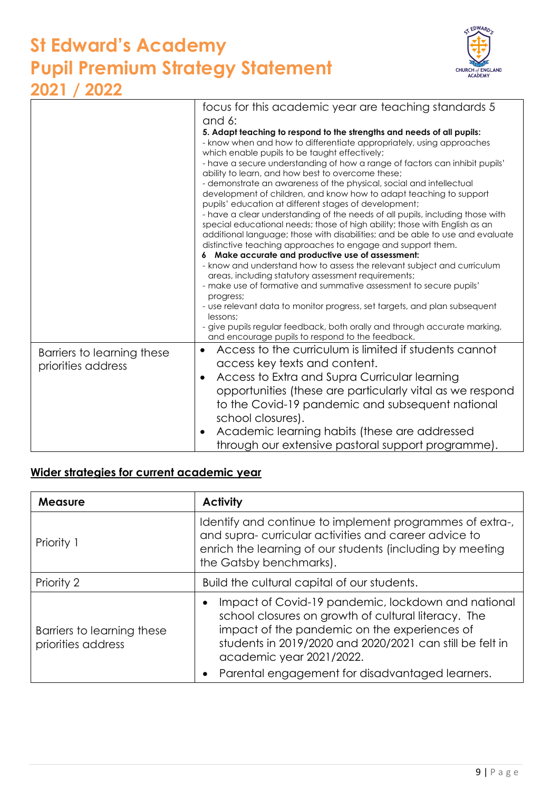

|                            | focus for this academic year are teaching standards 5<br>and 6:                                                                                                                                                                                                                                             |  |
|----------------------------|-------------------------------------------------------------------------------------------------------------------------------------------------------------------------------------------------------------------------------------------------------------------------------------------------------------|--|
|                            | 5. Adapt teaching to respond to the strengths and needs of all pupils:<br>- know when and how to differentiate appropriately, using approaches<br>which enable pupils to be taught effectively;<br>- have a secure understanding of how a range of factors can inhibit pupils'                              |  |
|                            | ability to learn, and how best to overcome these;<br>- demonstrate an awareness of the physical, social and intellectual<br>development of children, and know how to adapt teaching to support<br>pupils' education at different stages of development;                                                     |  |
|                            | - have a clear understanding of the needs of all pupils, including those with<br>special educational needs; those of high ability; those with English as an<br>additional language; those with disabilities; and be able to use and evaluate<br>distinctive teaching approaches to engage and support them. |  |
|                            | 6 Make accurate and productive use of assessment:                                                                                                                                                                                                                                                           |  |
|                            | - know and understand how to assess the relevant subject and curriculum                                                                                                                                                                                                                                     |  |
|                            | areas, including statutory assessment requirements;                                                                                                                                                                                                                                                         |  |
|                            | - make use of formative and summative assessment to secure pupils'                                                                                                                                                                                                                                          |  |
|                            | progress;                                                                                                                                                                                                                                                                                                   |  |
|                            | - use relevant data to monitor progress, set targets, and plan subsequent<br>lessons:                                                                                                                                                                                                                       |  |
|                            | - give pupils regular feedback, both orally and through accurate marking,<br>and encourage pupils to respond to the feedback.                                                                                                                                                                               |  |
| Barriers to learning these | Access to the curriculum is limited if students cannot                                                                                                                                                                                                                                                      |  |
| priorities address         | access key texts and content.                                                                                                                                                                                                                                                                               |  |
|                            | Access to Extra and Supra Curricular learning                                                                                                                                                                                                                                                               |  |
|                            | opportunities (these are particularly vital as we respond                                                                                                                                                                                                                                                   |  |
|                            |                                                                                                                                                                                                                                                                                                             |  |
|                            | to the Covid-19 pandemic and subsequent national                                                                                                                                                                                                                                                            |  |
|                            | school closures).                                                                                                                                                                                                                                                                                           |  |
|                            | Academic learning habits (these are addressed<br>$\bullet$                                                                                                                                                                                                                                                  |  |
|                            | through our extensive pastoral support programme).                                                                                                                                                                                                                                                          |  |

## **Wider strategies for current academic year**

| <b>Measure</b>                                   | <b>Activity</b>                                                                                                                                                                                                                                                |  |
|--------------------------------------------------|----------------------------------------------------------------------------------------------------------------------------------------------------------------------------------------------------------------------------------------------------------------|--|
| Priority 1                                       | Identify and continue to implement programmes of extra-,<br>and supra-curricular activities and career advice to<br>enrich the learning of our students (including by meeting<br>the Gatsby benchmarks).                                                       |  |
| Priority 2                                       | Build the cultural capital of our students.                                                                                                                                                                                                                    |  |
| Barriers to learning these<br>priorities address | Impact of Covid-19 pandemic, lockdown and national<br>$\bullet$<br>school closures on growth of cultural literacy. The<br>impact of the pandemic on the experiences of<br>students in 2019/2020 and 2020/2021 can still be felt in<br>academic year 2021/2022. |  |
|                                                  | Parental engagement for disadvantaged learners.                                                                                                                                                                                                                |  |